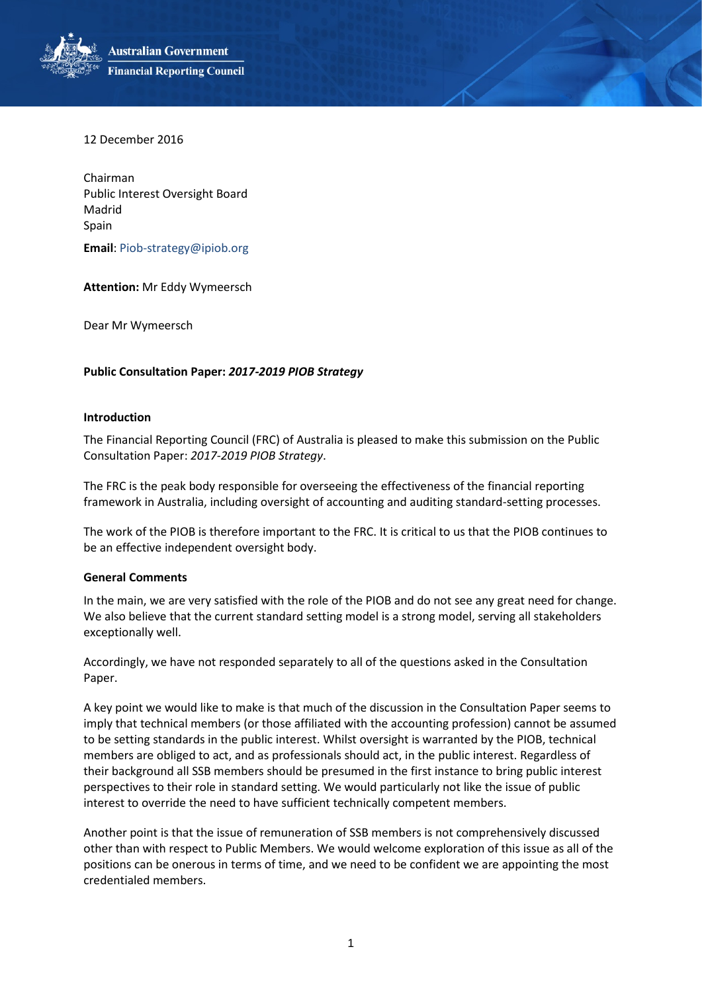**Australian Government Financial Reporting Council** 

12 December 2016

Chairman Public Interest Oversight Board Madrid Spain

**Email**[: Piob-strategy@ipiob.org](mailto:Piob-strategy@ipiob.org)

**Attention:** Mr Eddy Wymeersch

Dear Mr Wymeersch

## **Public Consultation Paper:** *2017-2019 PIOB Strategy*

## **Introduction**

The Financial Reporting Council (FRC) of Australia is pleased to make this submission on the Public Consultation Paper: *2017-2019 PIOB Strategy*.

The FRC is the peak body responsible for overseeing the effectiveness of the financial reporting framework in Australia, including oversight of accounting and auditing standard-setting processes.

The work of the PIOB is therefore important to the FRC. It is critical to us that the PIOB continues to be an effective independent oversight body.

## **General Comments**

In the main, we are very satisfied with the role of the PIOB and do not see any great need for change. We also believe that the current standard setting model is a strong model, serving all stakeholders exceptionally well.

Accordingly, we have not responded separately to all of the questions asked in the Consultation Paper.

A key point we would like to make is that much of the discussion in the Consultation Paper seems to imply that technical members (or those affiliated with the accounting profession) cannot be assumed to be setting standards in the public interest. Whilst oversight is warranted by the PIOB, technical members are obliged to act, and as professionals should act, in the public interest. Regardless of their background all SSB members should be presumed in the first instance to bring public interest perspectives to their role in standard setting. We would particularly not like the issue of public interest to override the need to have sufficient technically competent members.

Another point is that the issue of remuneration of SSB members is not comprehensively discussed other than with respect to Public Members. We would welcome exploration of this issue as all of the positions can be onerous in terms of time, and we need to be confident we are appointing the most credentialed members.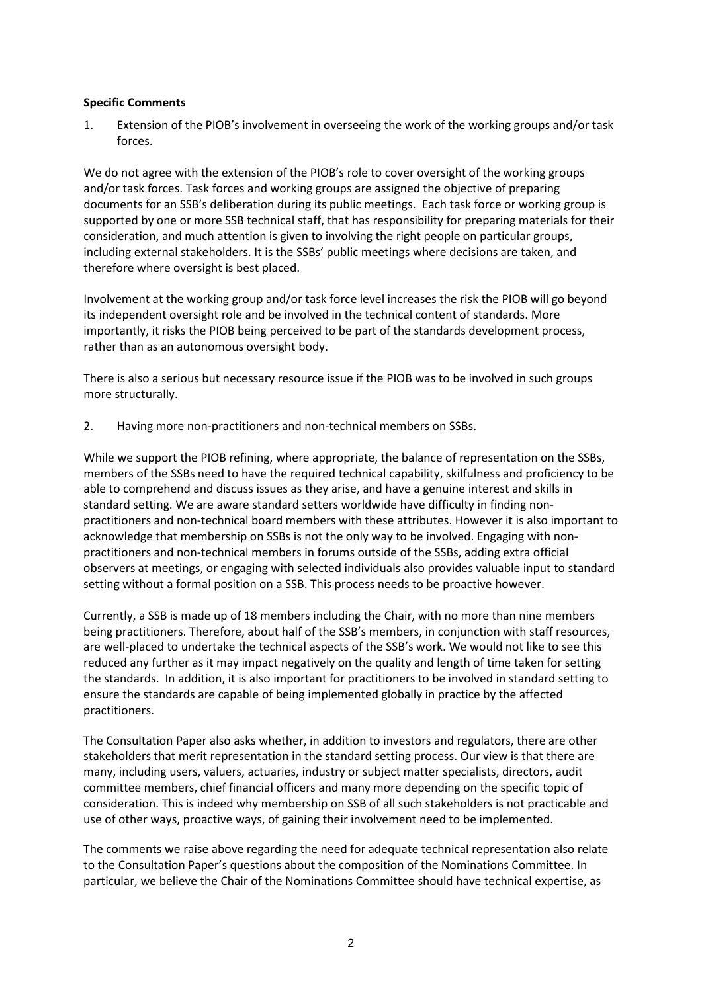## **Specific Comments**

1. Extension of the PIOB's involvement in overseeing the work of the working groups and/or task forces.

We do not agree with the extension of the PIOB's role to cover oversight of the working groups and/or task forces. Task forces and working groups are assigned the objective of preparing documents for an SSB's deliberation during its public meetings. Each task force or working group is supported by one or more SSB technical staff, that has responsibility for preparing materials for their consideration, and much attention is given to involving the right people on particular groups, including external stakeholders. It is the SSBs' public meetings where decisions are taken, and therefore where oversight is best placed.

Involvement at the working group and/or task force level increases the risk the PIOB will go beyond its independent oversight role and be involved in the technical content of standards. More importantly, it risks the PIOB being perceived to be part of the standards development process, rather than as an autonomous oversight body.

There is also a serious but necessary resource issue if the PIOB was to be involved in such groups more structurally.

2. Having more non-practitioners and non-technical members on SSBs.

While we support the PIOB refining, where appropriate, the balance of representation on the SSBs, members of the SSBs need to have the required technical capability, skilfulness and proficiency to be able to comprehend and discuss issues as they arise, and have a genuine interest and skills in standard setting. We are aware standard setters worldwide have difficulty in finding nonpractitioners and non-technical board members with these attributes. However it is also important to acknowledge that membership on SSBs is not the only way to be involved. Engaging with nonpractitioners and non-technical members in forums outside of the SSBs, adding extra official observers at meetings, or engaging with selected individuals also provides valuable input to standard setting without a formal position on a SSB. This process needs to be proactive however.

Currently, a SSB is made up of 18 members including the Chair, with no more than nine members being practitioners. Therefore, about half of the SSB's members, in conjunction with staff resources, are well-placed to undertake the technical aspects of the SSB's work. We would not like to see this reduced any further as it may impact negatively on the quality and length of time taken for setting the standards. In addition, it is also important for practitioners to be involved in standard setting to ensure the standards are capable of being implemented globally in practice by the affected practitioners.

The Consultation Paper also asks whether, in addition to investors and regulators, there are other stakeholders that merit representation in the standard setting process. Our view is that there are many, including users, valuers, actuaries, industry or subject matter specialists, directors, audit committee members, chief financial officers and many more depending on the specific topic of consideration. This is indeed why membership on SSB of all such stakeholders is not practicable and use of other ways, proactive ways, of gaining their involvement need to be implemented.

The comments we raise above regarding the need for adequate technical representation also relate to the Consultation Paper's questions about the composition of the Nominations Committee. In particular, we believe the Chair of the Nominations Committee should have technical expertise, as